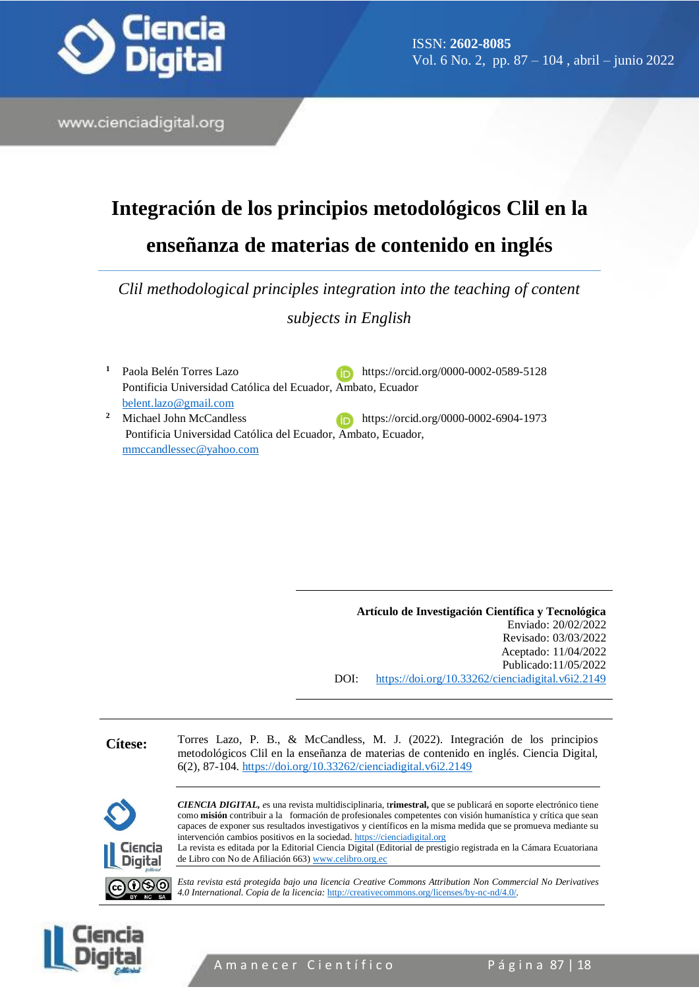

ISSN: **2602-8085** Vol. 6 No. 2, pp. 87 – 104 , abril – junio 2022

www.cienciadigital.org

# **Integración de los principios metodológicos Clil en la enseñanza de materias de contenido en inglés**

*Clil methodological principles integration into the teaching of content subjects in English*

<sup>1</sup> Paola Belén Torres Lazo **<https://orcid.org/0000-0002-0589-5128>** Pontificia Universidad Católica del Ecuador, Ambato, Ecuador [belent.lazo@gmail.com](mailto:belent.lazo@gmail.com) <sup>2</sup> Michael John McCandless https://orcid.org/0000-0002-6904-1973 Pontificia Universidad Católica del Ecuador, Ambato, Ecuador, [mmccandlessec@yahoo.com](mailto:mmccandlessec@yahoo.com)

> **Artículo de Investigación Científica y Tecnológica** Enviado: 20/02/2022 Revisado: 03/03/2022 Aceptado: 11/04/2022 Publicado:11/05/2022 DOI: <https://doi.org/10.33262/cienciadigital.v6i2.2149>

**Cítese:** Torres Lazo, P. B., & McCandless, M. J. (2022). Integración de los principios metodológicos Clil en la enseñanza de materias de contenido en inglés. Ciencia Digital, 6(2), 87-104.<https://doi.org/10.33262/cienciadigital.v6i2.2149> *CIENCIA DIGITAL, e*s una revista multidisciplinaria, t**rimestral,** que se publicará en soporte electrónico tiene como **misión** contribuir a la formación de profesionales competentes con visión humanística y crítica que sean capaces de exponer sus resultados investigativos y científicos en la misma medida que se promueva mediante su intervención cambios positivos en la sociedad. [https://cienciadigital.org](https://cienciadigital.org/) La revista es editada por la Editorial Ciencia Digital (Editorial de prestigio registrada en la Cámara Ecuatoriana Ciencia Diaital de Libro con No de Afiliación 663) www.celibro.org.eq

*Esta revista está protegida bajo una licencia Creative Commons Attribution Non Commercial No Derivatives* ಄಄಄ *4.0 International. Copia de la licencia:* <http://creativecommons.org/licenses/by-nc-nd/4.0/>*.*



A m a n e c e r Científico Página 87 | 18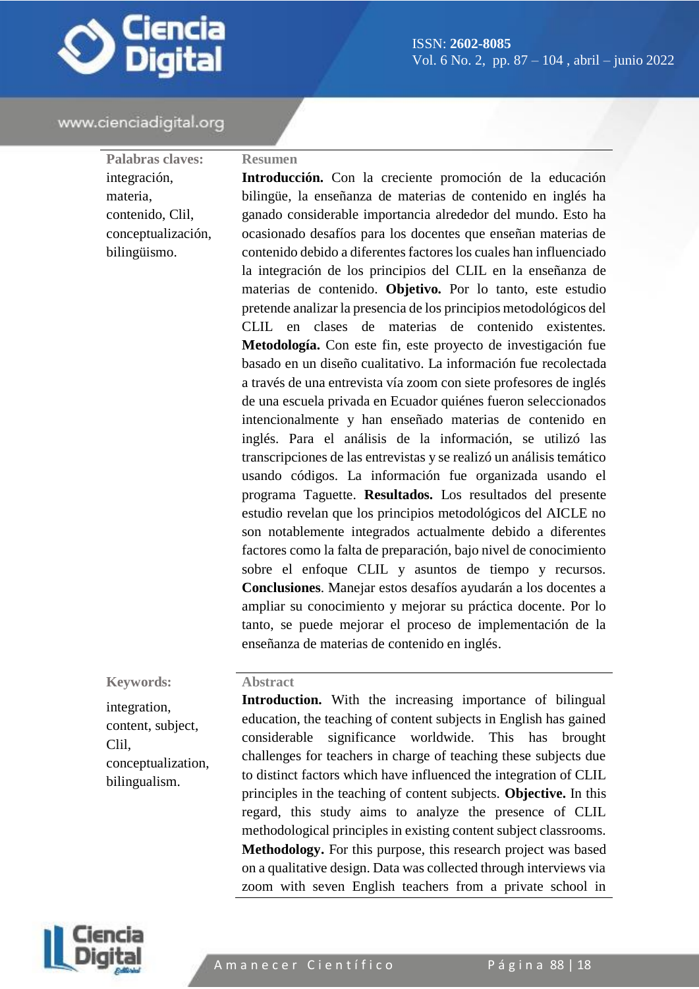

**Palabras claves:** integración, materia, contenido, Clil, conceptualización, bilingüismo.

#### **Resumen**

**Introducción.** Con la creciente promoción de la educación bilingüe, la enseñanza de materias de contenido en inglés ha ganado considerable importancia alrededor del mundo. Esto ha ocasionado desafíos para los docentes que enseñan materias de contenido debido a diferentes factores los cuales han influenciado la integración de los principios del CLIL en la enseñanza de materias de contenido. **Objetivo.** Por lo tanto, este estudio pretende analizar la presencia de los principios metodológicos del CLIL en clases de materias de contenido existentes. **Metodología.** Con este fin, este proyecto de investigación fue basado en un diseño cualitativo. La información fue recolectada a través de una entrevista vía zoom con siete profesores de inglés de una escuela privada en Ecuador quiénes fueron seleccionados intencionalmente y han enseñado materias de contenido en inglés. Para el análisis de la información, se utilizó las transcripciones de las entrevistas y se realizó un análisis temático usando códigos. La información fue organizada usando el programa Taguette. **Resultados.** Los resultados del presente estudio revelan que los principios metodológicos del AICLE no son notablemente integrados actualmente debido a diferentes factores como la falta de preparación, bajo nivel de conocimiento sobre el enfoque CLIL y asuntos de tiempo y recursos. **Conclusiones**. Manejar estos desafíos ayudarán a los docentes a ampliar su conocimiento y mejorar su práctica docente. Por lo tanto, se puede mejorar el proceso de implementación de la enseñanza de materias de contenido en inglés.

#### **Keywords:**

integration, content, subject, Clil, conceptualization, bilingualism.

**Introduction.** With the increasing importance of bilingual education, the teaching of content subjects in English has gained considerable significance worldwide. This has brought challenges for teachers in charge of teaching these subjects due to distinct factors which have influenced the integration of CLIL principles in the teaching of content subjects. **Objective.** In this regard, this study aims to analyze the presence of CLIL methodological principles in existing content subject classrooms. **Methodology.** For this purpose, this research project was based on a qualitative design. Data was collected through interviews via zoom with seven English teachers from a private school in



**Abstract**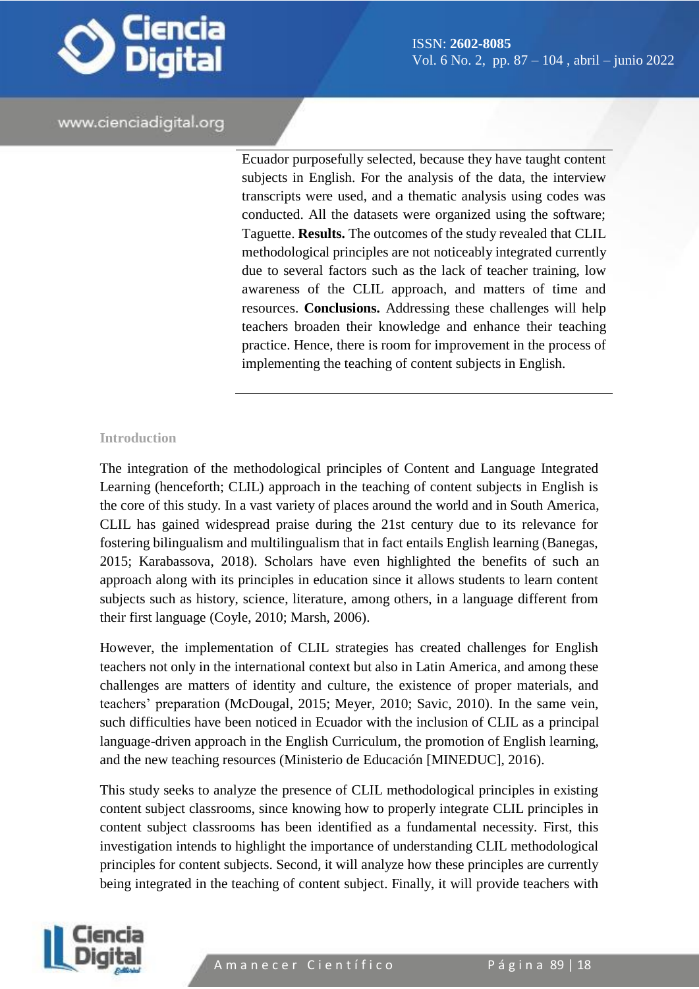

Ecuador purposefully selected, because they have taught content subjects in English. For the analysis of the data, the interview transcripts were used, and a thematic analysis using codes was conducted. All the datasets were organized using the software; Taguette. **Results.** The outcomes of the study revealed that CLIL methodological principles are not noticeably integrated currently due to several factors such as the lack of teacher training, low awareness of the CLIL approach, and matters of time and resources. **Conclusions.** Addressing these challenges will help teachers broaden their knowledge and enhance their teaching practice. Hence, there is room for improvement in the process of implementing the teaching of content subjects in English.

#### **Introduction**

The integration of the methodological principles of Content and Language Integrated Learning (henceforth; CLIL) approach in the teaching of content subjects in English is the core of this study. In a vast variety of places around the world and in South America, CLIL has gained widespread praise during the 21st century due to its relevance for fostering bilingualism and multilingualism that in fact entails English learning (Banegas, 2015; Karabassova, 2018). Scholars have even highlighted the benefits of such an approach along with its principles in education since it allows students to learn content subjects such as history, science, literature, among others, in a language different from their first language (Coyle, 2010; Marsh, 2006).

However, the implementation of CLIL strategies has created challenges for English teachers not only in the international context but also in Latin America, and among these challenges are matters of identity and culture, the existence of proper materials, and teachers' preparation (McDougal, 2015; Meyer, 2010; Savic, 2010). In the same vein, such difficulties have been noticed in Ecuador with the inclusion of CLIL as a principal language-driven approach in the English Curriculum, the promotion of English learning, and the new teaching resources (Ministerio de Educación [MINEDUC], 2016).

This study seeks to analyze the presence of CLIL methodological principles in existing content subject classrooms, since knowing how to properly integrate CLIL principles in content subject classrooms has been identified as a fundamental necessity. First, this investigation intends to highlight the importance of understanding CLIL methodological principles for content subjects. Second, it will analyze how these principles are currently being integrated in the teaching of content subject. Finally, it will provide teachers with

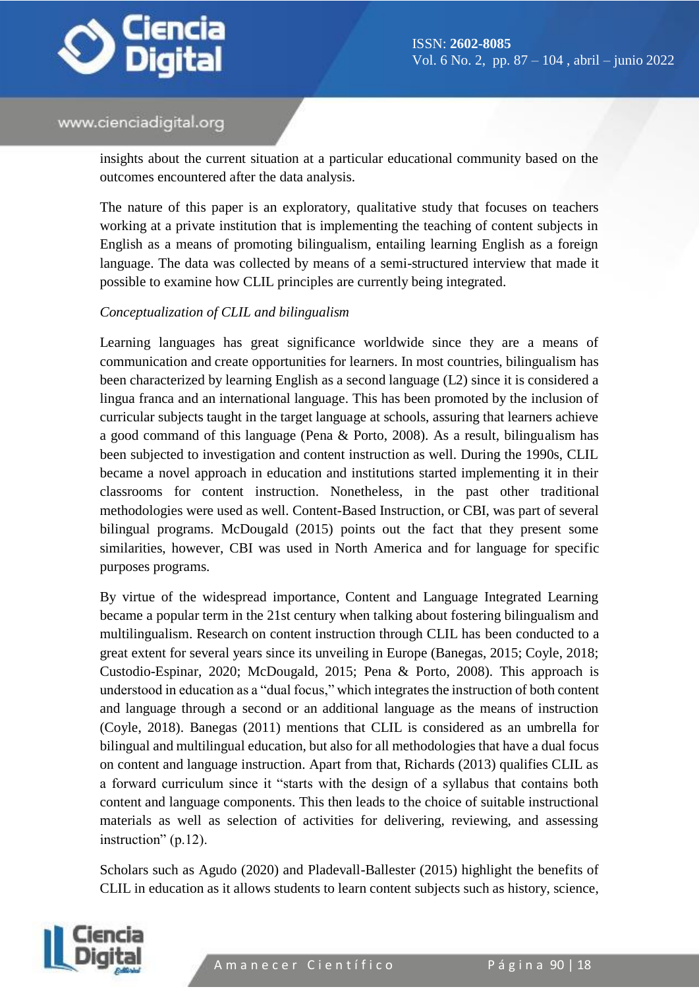

insights about the current situation at a particular educational community based on the outcomes encountered after the data analysis.

The nature of this paper is an exploratory, qualitative study that focuses on teachers working at a private institution that is implementing the teaching of content subjects in English as a means of promoting bilingualism, entailing learning English as a foreign language. The data was collected by means of a semi-structured interview that made it possible to examine how CLIL principles are currently being integrated.

#### *Conceptualization of CLIL and bilingualism*

Learning languages has great significance worldwide since they are a means of communication and create opportunities for learners. In most countries, bilingualism has been characterized by learning English as a second language (L2) since it is considered a lingua franca and an international language. This has been promoted by the inclusion of curricular subjects taught in the target language at schools, assuring that learners achieve a good command of this language (Pena & Porto, 2008). As a result, bilingualism has been subjected to investigation and content instruction as well. During the 1990s, CLIL became a novel approach in education and institutions started implementing it in their classrooms for content instruction. Nonetheless, in the past other traditional methodologies were used as well. Content-Based Instruction, or CBI, was part of several bilingual programs. McDougald (2015) points out the fact that they present some similarities, however, CBI was used in North America and for language for specific purposes programs.

By virtue of the widespread importance, Content and Language Integrated Learning became a popular term in the 21st century when talking about fostering bilingualism and multilingualism. Research on content instruction through CLIL has been conducted to a great extent for several years since its unveiling in Europe (Banegas, 2015; Coyle, 2018; Custodio-Espinar, 2020; McDougald, 2015; Pena & Porto, 2008). This approach is understood in education as a "dual focus," which integrates the instruction of both content and language through a second or an additional language as the means of instruction (Coyle, 2018). Banegas (2011) mentions that CLIL is considered as an umbrella for bilingual and multilingual education, but also for all methodologies that have a dual focus on content and language instruction. Apart from that, Richards (2013) qualifies CLIL as a forward curriculum since it "starts with the design of a syllabus that contains both content and language components. This then leads to the choice of suitable instructional materials as well as selection of activities for delivering, reviewing, and assessing instruction" (p.12).

Scholars such as Agudo (2020) and Pladevall-Ballester (2015) highlight the benefits of CLIL in education as it allows students to learn content subjects such as history, science,

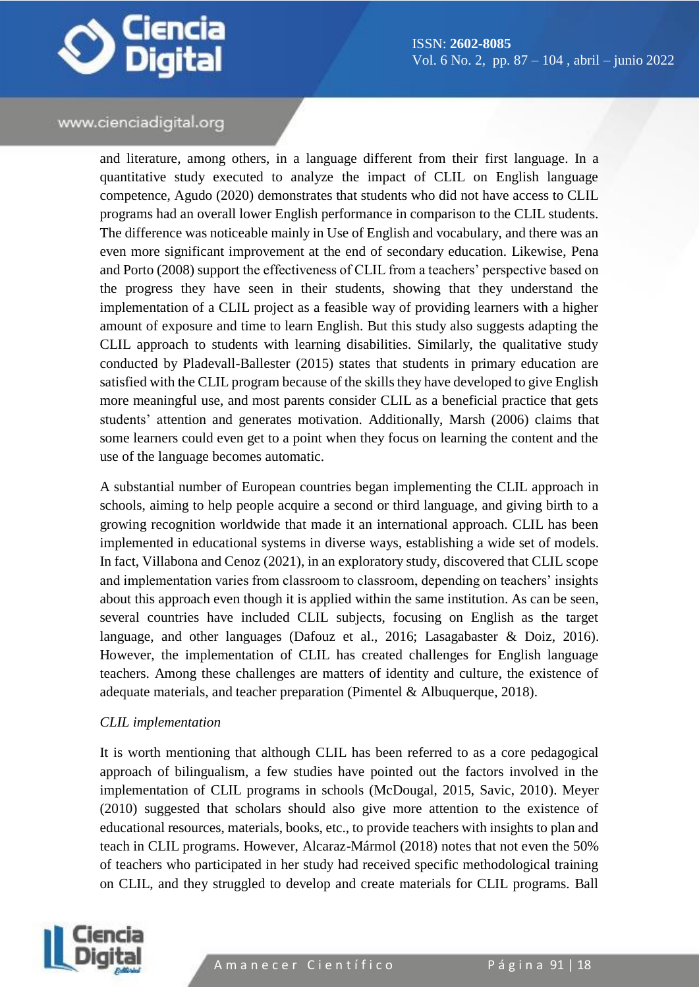

and literature, among others, in a language different from their first language. In a quantitative study executed to analyze the impact of CLIL on English language competence, Agudo (2020) demonstrates that students who did not have access to CLIL programs had an overall lower English performance in comparison to the CLIL students. The difference was noticeable mainly in Use of English and vocabulary, and there was an even more significant improvement at the end of secondary education. Likewise, Pena and Porto (2008) support the effectiveness of CLIL from a teachers' perspective based on the progress they have seen in their students, showing that they understand the implementation of a CLIL project as a feasible way of providing learners with a higher amount of exposure and time to learn English. But this study also suggests adapting the CLIL approach to students with learning disabilities. Similarly, the qualitative study conducted by Pladevall-Ballester (2015) states that students in primary education are satisfied with the CLIL program because of the skills they have developed to give English more meaningful use, and most parents consider CLIL as a beneficial practice that gets students' attention and generates motivation. Additionally, Marsh (2006) claims that some learners could even get to a point when they focus on learning the content and the use of the language becomes automatic.

A substantial number of European countries began implementing the CLIL approach in schools, aiming to help people acquire a second or third language, and giving birth to a growing recognition worldwide that made it an international approach. CLIL has been implemented in educational systems in diverse ways, establishing a wide set of models. In fact, Villabona and Cenoz (2021), in an exploratory study, discovered that CLIL scope and implementation varies from classroom to classroom, depending on teachers' insights about this approach even though it is applied within the same institution. As can be seen, several countries have included CLIL subjects, focusing on English as the target language, and other languages (Dafouz et al., 2016; Lasagabaster & Doiz, 2016). However, the implementation of CLIL has created challenges for English language teachers. Among these challenges are matters of identity and culture, the existence of adequate materials, and teacher preparation (Pimentel & Albuquerque, 2018).

## *CLIL implementation*

It is worth mentioning that although CLIL has been referred to as a core pedagogical approach of bilingualism, a few studies have pointed out the factors involved in the implementation of CLIL programs in schools (McDougal, 2015, Savic, 2010). Meyer (2010) suggested that scholars should also give more attention to the existence of educational resources, materials, books, etc., to provide teachers with insights to plan and teach in CLIL programs. However, Alcaraz-Mármol (2018) notes that not even the 50% of teachers who participated in her study had received specific methodological training on CLIL, and they struggled to develop and create materials for CLIL programs. Ball

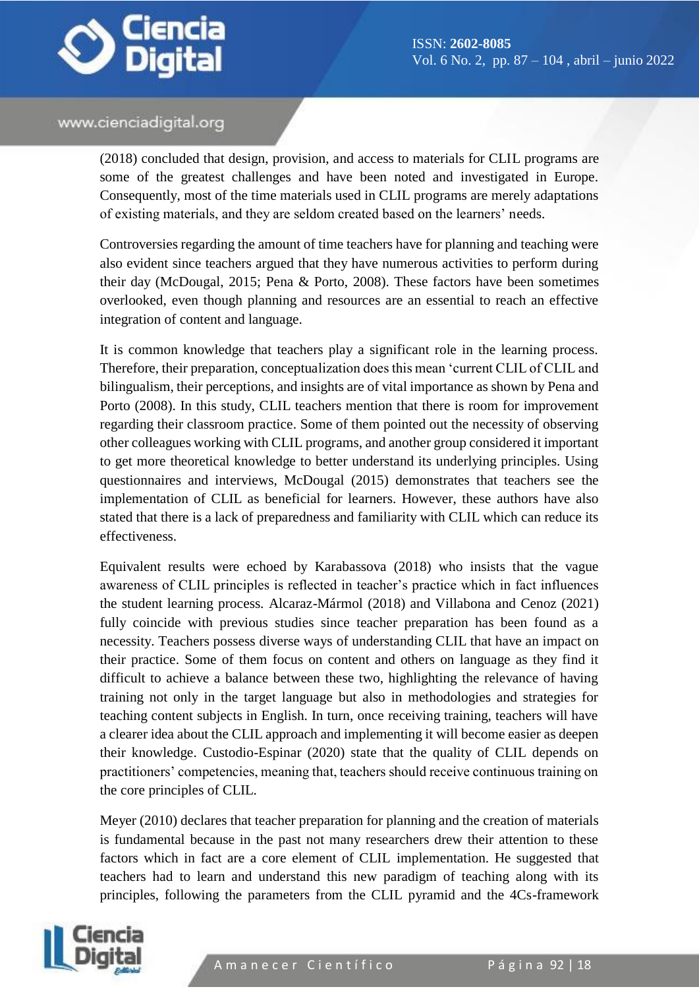

(2018) concluded that design, provision, and access to materials for CLIL programs are some of the greatest challenges and have been noted and investigated in Europe. Consequently, most of the time materials used in CLIL programs are merely adaptations of existing materials, and they are seldom created based on the learners' needs.

Controversies regarding the amount of time teachers have for planning and teaching were also evident since teachers argued that they have numerous activities to perform during their day (McDougal, 2015; Pena & Porto, 2008). These factors have been sometimes overlooked, even though planning and resources are an essential to reach an effective integration of content and language.

It is common knowledge that teachers play a significant role in the learning process. Therefore, their preparation, conceptualization does this mean 'current CLIL of CLIL and bilingualism, their perceptions, and insights are of vital importance as shown by Pena and Porto (2008). In this study, CLIL teachers mention that there is room for improvement regarding their classroom practice. Some of them pointed out the necessity of observing other colleagues working with CLIL programs, and another group considered it important to get more theoretical knowledge to better understand its underlying principles. Using questionnaires and interviews, McDougal (2015) demonstrates that teachers see the implementation of CLIL as beneficial for learners. However, these authors have also stated that there is a lack of preparedness and familiarity with CLIL which can reduce its effectiveness.

Equivalent results were echoed by Karabassova (2018) who insists that the vague awareness of CLIL principles is reflected in teacher's practice which in fact influences the student learning process. Alcaraz-Mármol (2018) and Villabona and Cenoz (2021) fully coincide with previous studies since teacher preparation has been found as a necessity. Teachers possess diverse ways of understanding CLIL that have an impact on their practice. Some of them focus on content and others on language as they find it difficult to achieve a balance between these two, highlighting the relevance of having training not only in the target language but also in methodologies and strategies for teaching content subjects in English. In turn, once receiving training, teachers will have a clearer idea about the CLIL approach and implementing it will become easier as deepen their knowledge. Custodio-Espinar (2020) state that the quality of CLIL depends on practitioners' competencies, meaning that, teachers should receive continuous training on the core principles of CLIL.

Meyer (2010) declares that teacher preparation for planning and the creation of materials is fundamental because in the past not many researchers drew their attention to these factors which in fact are a core element of CLIL implementation. He suggested that teachers had to learn and understand this new paradigm of teaching along with its principles, following the parameters from the CLIL pyramid and the 4Cs-framework

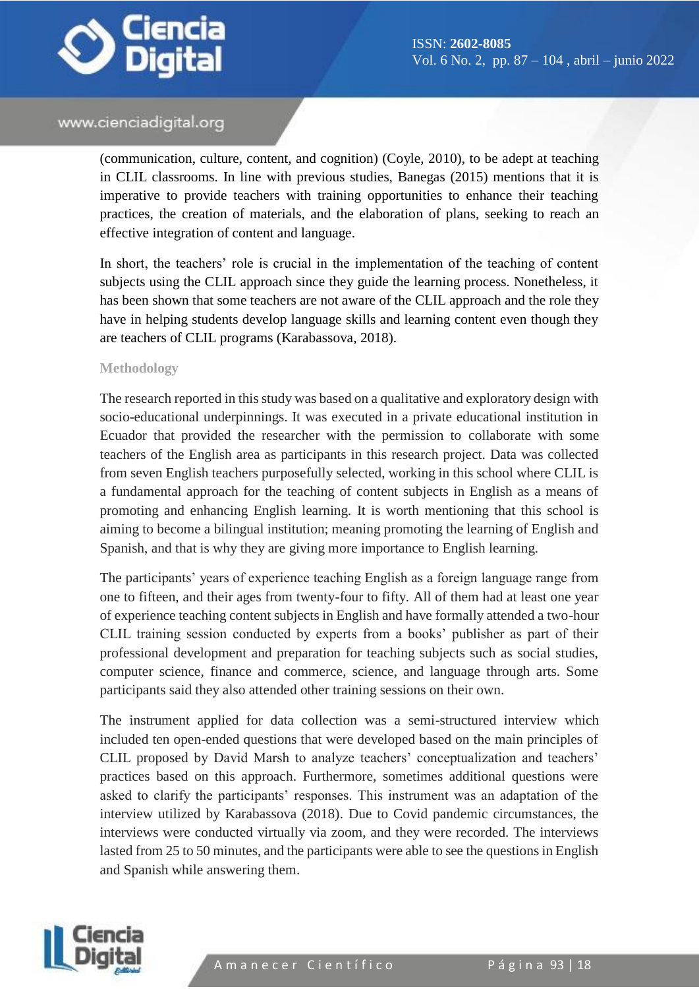

(communication, culture, content, and cognition) (Coyle, 2010), to be adept at teaching in CLIL classrooms. In line with previous studies, Banegas (2015) mentions that it is imperative to provide teachers with training opportunities to enhance their teaching practices, the creation of materials, and the elaboration of plans, seeking to reach an effective integration of content and language.

In short, the teachers' role is crucial in the implementation of the teaching of content subjects using the CLIL approach since they guide the learning process. Nonetheless, it has been shown that some teachers are not aware of the CLIL approach and the role they have in helping students develop language skills and learning content even though they are teachers of CLIL programs (Karabassova, 2018).

#### **Methodology**

The research reported in this study was based on a qualitative and exploratory design with socio-educational underpinnings. It was executed in a private educational institution in Ecuador that provided the researcher with the permission to collaborate with some teachers of the English area as participants in this research project. Data was collected from seven English teachers purposefully selected, working in this school where CLIL is a fundamental approach for the teaching of content subjects in English as a means of promoting and enhancing English learning. It is worth mentioning that this school is aiming to become a bilingual institution; meaning promoting the learning of English and Spanish, and that is why they are giving more importance to English learning.

The participants' years of experience teaching English as a foreign language range from one to fifteen, and their ages from twenty-four to fifty. All of them had at least one year of experience teaching content subjects in English and have formally attended a two-hour CLIL training session conducted by experts from a books' publisher as part of their professional development and preparation for teaching subjects such as social studies, computer science, finance and commerce, science, and language through arts. Some participants said they also attended other training sessions on their own.

The instrument applied for data collection was a semi-structured interview which included ten open-ended questions that were developed based on the main principles of CLIL proposed by David Marsh to analyze teachers' conceptualization and teachers' practices based on this approach. Furthermore, sometimes additional questions were asked to clarify the participants' responses. This instrument was an adaptation of the interview utilized by Karabassova (2018). Due to Covid pandemic circumstances, the interviews were conducted virtually via zoom, and they were recorded. The interviews lasted from 25 to 50 minutes, and the participants were able to see the questions in English and Spanish while answering them.

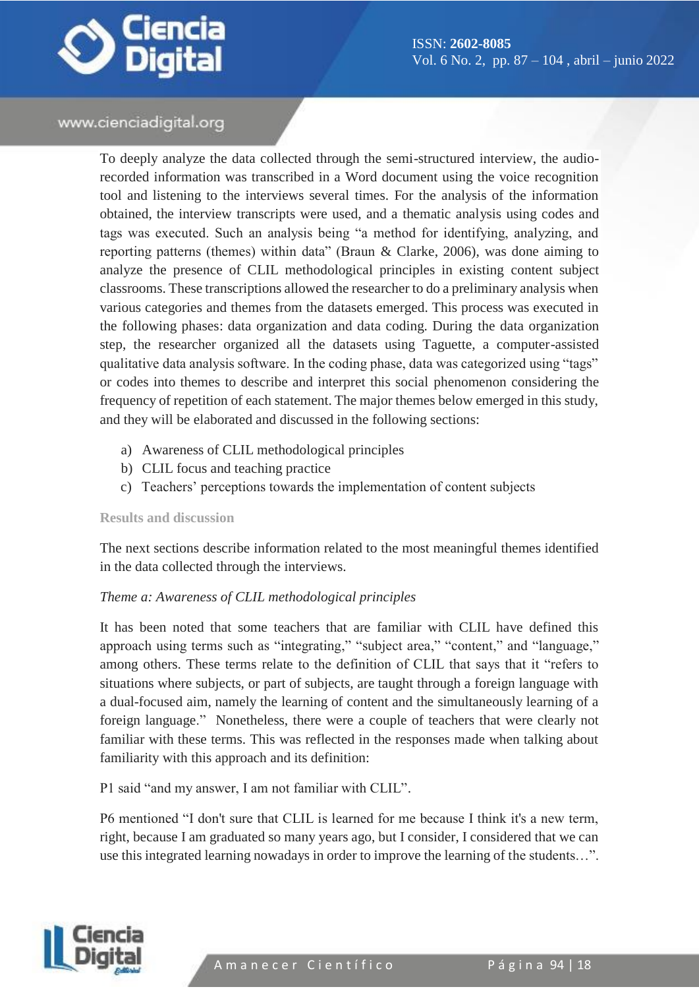

To deeply analyze the data collected through the semi-structured interview, the audiorecorded information was transcribed in a Word document using the voice recognition tool and listening to the interviews several times. For the analysis of the information obtained, the interview transcripts were used, and a thematic analysis using codes and tags was executed. Such an analysis being "a method for identifying, analyzing, and reporting patterns (themes) within data" (Braun & Clarke, 2006), was done aiming to analyze the presence of CLIL methodological principles in existing content subject classrooms. These transcriptions allowed the researcher to do a preliminary analysis when various categories and themes from the datasets emerged. This process was executed in the following phases: data organization and data coding. During the data organization step, the researcher organized all the datasets using Taguette, a computer-assisted qualitative data analysis software. In the coding phase, data was categorized using "tags" or codes into themes to describe and interpret this social phenomenon considering the frequency of repetition of each statement. The major themes below emerged in this study, and they will be elaborated and discussed in the following sections:

- a) Awareness of CLIL methodological principles
- b) CLIL focus and teaching practice
- c) Teachers' perceptions towards the implementation of content subjects

#### **Results and discussion**

The next sections describe information related to the most meaningful themes identified in the data collected through the interviews.

#### *Theme a: Awareness of CLIL methodological principles*

It has been noted that some teachers that are familiar with CLIL have defined this approach using terms such as "integrating," "subject area," "content," and "language," among others. These terms relate to the definition of CLIL that says that it "refers to situations where subjects, or part of subjects, are taught through a foreign language with a dual-focused aim, namely the learning of content and the simultaneously learning of a foreign language." Nonetheless, there were a couple of teachers that were clearly not familiar with these terms. This was reflected in the responses made when talking about familiarity with this approach and its definition:

P1 said "and my answer, I am not familiar with CLIL".

P6 mentioned "I don't sure that CLIL is learned for me because I think it's a new term, right, because I am graduated so many years ago, but I consider, I considered that we can use this integrated learning nowadays in order to improve the learning of the students…".

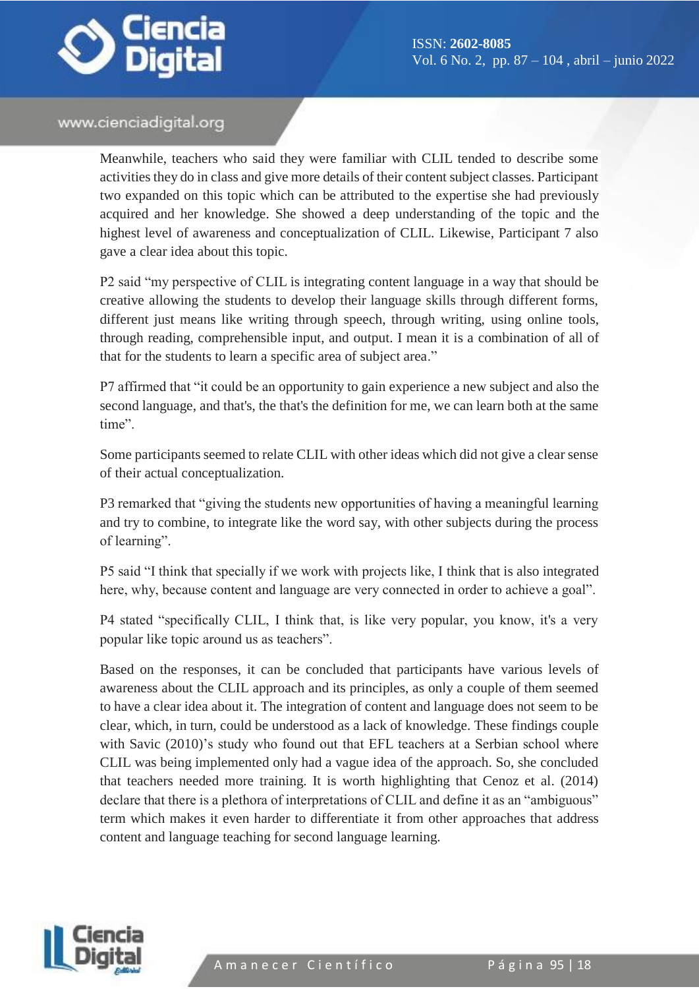

Meanwhile, teachers who said they were familiar with CLIL tended to describe some activities they do in class and give more details of their content subject classes. Participant two expanded on this topic which can be attributed to the expertise she had previously acquired and her knowledge. She showed a deep understanding of the topic and the highest level of awareness and conceptualization of CLIL. Likewise, Participant 7 also gave a clear idea about this topic.

P2 said "my perspective of CLIL is integrating content language in a way that should be creative allowing the students to develop their language skills through different forms, different just means like writing through speech, through writing, using online tools, through reading, comprehensible input, and output. I mean it is a combination of all of that for the students to learn a specific area of subject area."

P7 affirmed that "it could be an opportunity to gain experience a new subject and also the second language, and that's, the that's the definition for me, we can learn both at the same time".

Some participants seemed to relate CLIL with other ideas which did not give a clear sense of their actual conceptualization.

P3 remarked that "giving the students new opportunities of having a meaningful learning and try to combine, to integrate like the word say, with other subjects during the process of learning".

P5 said "I think that specially if we work with projects like, I think that is also integrated here, why, because content and language are very connected in order to achieve a goal".

P4 stated "specifically CLIL, I think that, is like very popular, you know, it's a very popular like topic around us as teachers".

Based on the responses, it can be concluded that participants have various levels of awareness about the CLIL approach and its principles, as only a couple of them seemed to have a clear idea about it. The integration of content and language does not seem to be clear, which, in turn, could be understood as a lack of knowledge. These findings couple with Savic (2010)'s study who found out that EFL teachers at a Serbian school where CLIL was being implemented only had a vague idea of the approach. So, she concluded that teachers needed more training. It is worth highlighting that Cenoz et al. (2014) declare that there is a plethora of interpretations of CLIL and define it as an "ambiguous" term which makes it even harder to differentiate it from other approaches that address content and language teaching for second language learning.

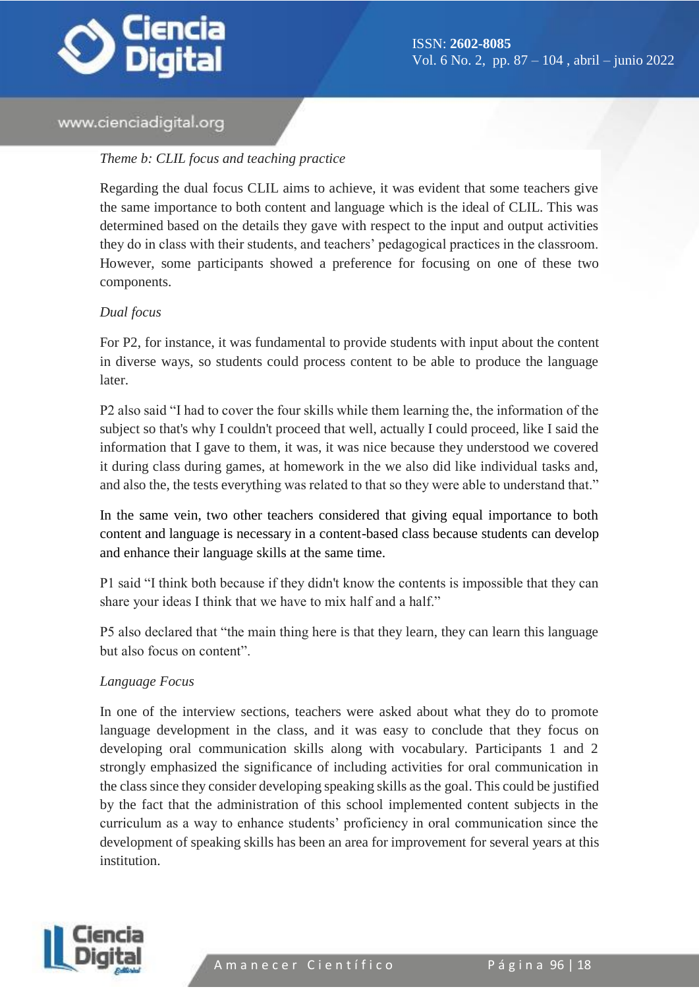

#### *Theme b: CLIL focus and teaching practice*

Regarding the dual focus CLIL aims to achieve, it was evident that some teachers give the same importance to both content and language which is the ideal of CLIL. This was determined based on the details they gave with respect to the input and output activities they do in class with their students, and teachers' pedagogical practices in the classroom. However, some participants showed a preference for focusing on one of these two components.

#### *Dual focus*

For P2, for instance, it was fundamental to provide students with input about the content in diverse ways, so students could process content to be able to produce the language later.

P2 also said "I had to cover the four skills while them learning the, the information of the subject so that's why I couldn't proceed that well, actually I could proceed, like I said the information that I gave to them, it was, it was nice because they understood we covered it during class during games, at homework in the we also did like individual tasks and, and also the, the tests everything was related to that so they were able to understand that."

In the same vein, two other teachers considered that giving equal importance to both content and language is necessary in a content-based class because students can develop and enhance their language skills at the same time.

P1 said "I think both because if they didn't know the contents is impossible that they can share your ideas I think that we have to mix half and a half."

P5 also declared that "the main thing here is that they learn, they can learn this language but also focus on content".

## *Language Focus*

In one of the interview sections, teachers were asked about what they do to promote language development in the class, and it was easy to conclude that they focus on developing oral communication skills along with vocabulary. Participants 1 and 2 strongly emphasized the significance of including activities for oral communication in the class since they consider developing speaking skills as the goal. This could be justified by the fact that the administration of this school implemented content subjects in the curriculum as a way to enhance students' proficiency in oral communication since the development of speaking skills has been an area for improvement for several years at this institution.

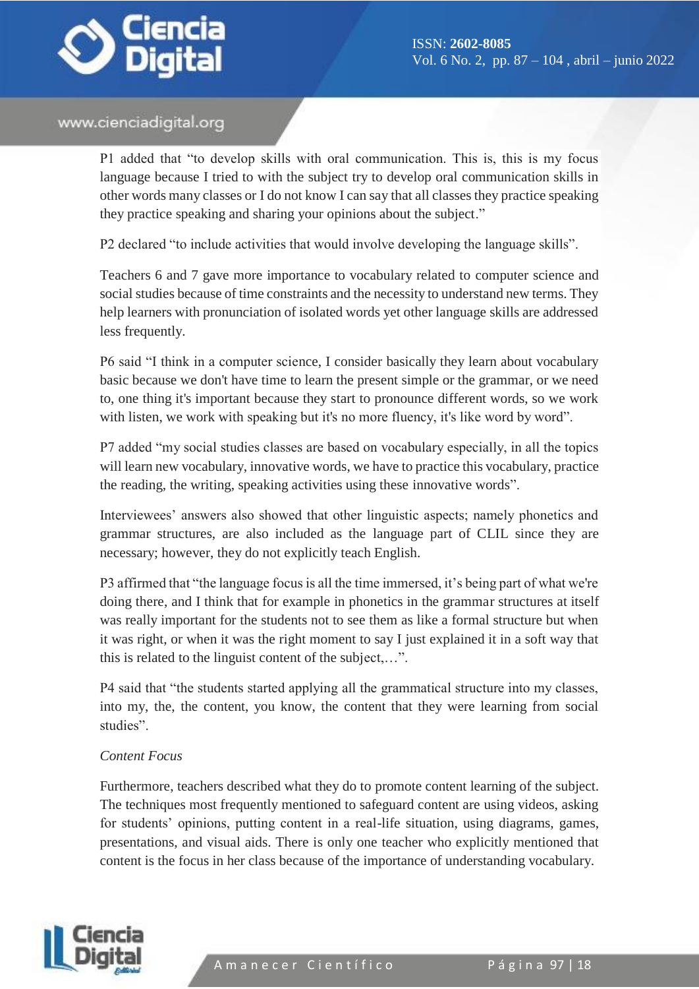

P1 added that "to develop skills with oral communication. This is, this is my focus language because I tried to with the subject try to develop oral communication skills in other words many classes or I do not know I can say that all classes they practice speaking they practice speaking and sharing your opinions about the subject."

P2 declared "to include activities that would involve developing the language skills".

Teachers 6 and 7 gave more importance to vocabulary related to computer science and social studies because of time constraints and the necessity to understand new terms. They help learners with pronunciation of isolated words yet other language skills are addressed less frequently.

P6 said "I think in a computer science, I consider basically they learn about vocabulary basic because we don't have time to learn the present simple or the grammar, or we need to, one thing it's important because they start to pronounce different words, so we work with listen, we work with speaking but it's no more fluency, it's like word by word".

P7 added "my social studies classes are based on vocabulary especially, in all the topics will learn new vocabulary, innovative words, we have to practice this vocabulary, practice the reading, the writing, speaking activities using these innovative words".

Interviewees' answers also showed that other linguistic aspects; namely phonetics and grammar structures, are also included as the language part of CLIL since they are necessary; however, they do not explicitly teach English.

P3 affirmed that "the language focus is all the time immersed, it's being part of what we're doing there, and I think that for example in phonetics in the grammar structures at itself was really important for the students not to see them as like a formal structure but when it was right, or when it was the right moment to say I just explained it in a soft way that this is related to the linguist content of the subject,…".

P4 said that "the students started applying all the grammatical structure into my classes, into my, the, the content, you know, the content that they were learning from social studies".

#### *Content Focus*

Furthermore, teachers described what they do to promote content learning of the subject. The techniques most frequently mentioned to safeguard content are using videos, asking for students' opinions, putting content in a real-life situation, using diagrams, games, presentations, and visual aids. There is only one teacher who explicitly mentioned that content is the focus in her class because of the importance of understanding vocabulary.

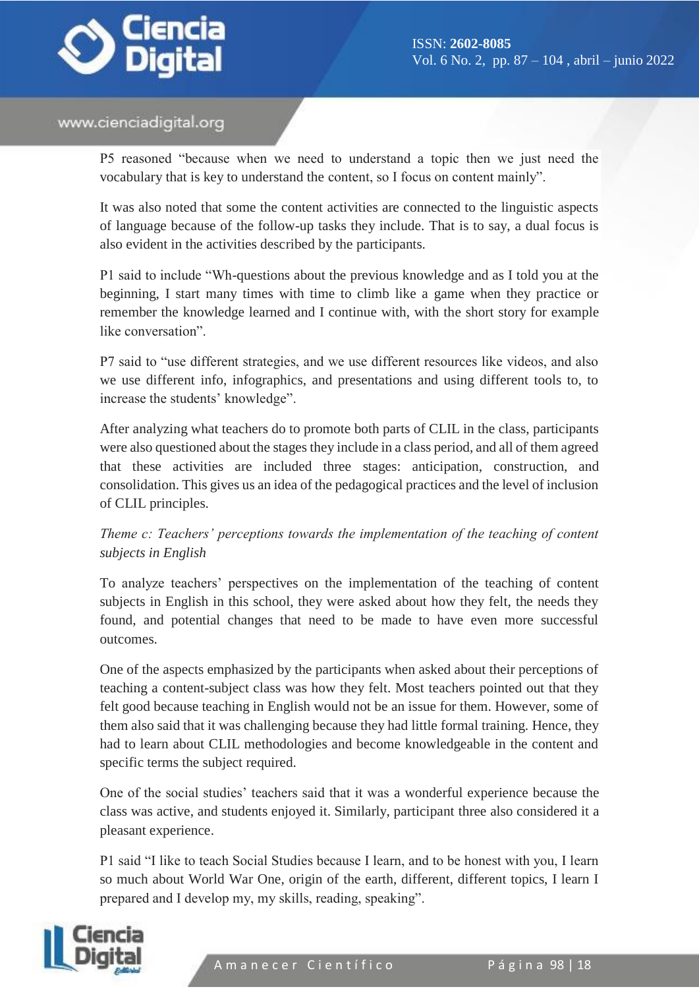

P5 reasoned "because when we need to understand a topic then we just need the vocabulary that is key to understand the content, so I focus on content mainly".

It was also noted that some the content activities are connected to the linguistic aspects of language because of the follow-up tasks they include. That is to say, a dual focus is also evident in the activities described by the participants.

P1 said to include "Wh-questions about the previous knowledge and as I told you at the beginning, I start many times with time to climb like a game when they practice or remember the knowledge learned and I continue with, with the short story for example like conversation".

P7 said to "use different strategies, and we use different resources like videos, and also we use different info, infographics, and presentations and using different tools to, to increase the students' knowledge".

After analyzing what teachers do to promote both parts of CLIL in the class, participants were also questioned about the stages they include in a class period, and all of them agreed that these activities are included three stages: anticipation, construction, and consolidation. This gives us an idea of the pedagogical practices and the level of inclusion of CLIL principles.

*Theme c: Teachers' perceptions towards the implementation of the teaching of content subjects in English*

To analyze teachers' perspectives on the implementation of the teaching of content subjects in English in this school, they were asked about how they felt, the needs they found, and potential changes that need to be made to have even more successful outcomes.

One of the aspects emphasized by the participants when asked about their perceptions of teaching a content-subject class was how they felt. Most teachers pointed out that they felt good because teaching in English would not be an issue for them. However, some of them also said that it was challenging because they had little formal training. Hence, they had to learn about CLIL methodologies and become knowledgeable in the content and specific terms the subject required.

One of the social studies' teachers said that it was a wonderful experience because the class was active, and students enjoyed it. Similarly, participant three also considered it a pleasant experience.

P1 said "I like to teach Social Studies because I learn, and to be honest with you, I learn so much about World War One, origin of the earth, different, different topics, I learn I prepared and I develop my, my skills, reading, speaking".

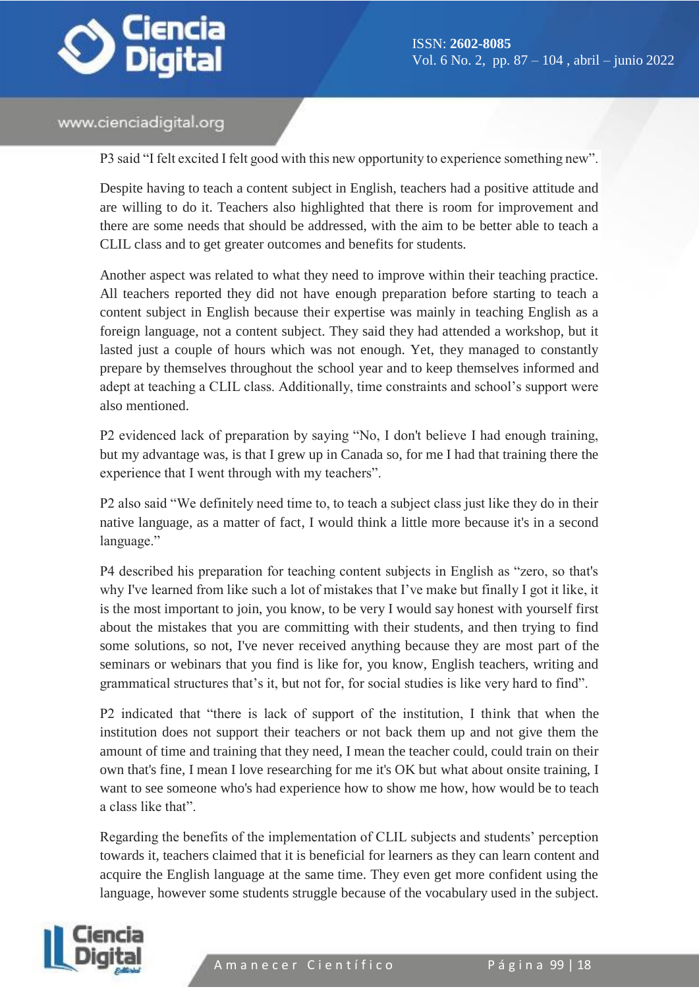

P3 said "I felt excited I felt good with this new opportunity to experience something new".

Despite having to teach a content subject in English, teachers had a positive attitude and are willing to do it. Teachers also highlighted that there is room for improvement and there are some needs that should be addressed, with the aim to be better able to teach a CLIL class and to get greater outcomes and benefits for students.

Another aspect was related to what they need to improve within their teaching practice. All teachers reported they did not have enough preparation before starting to teach a content subject in English because their expertise was mainly in teaching English as a foreign language, not a content subject. They said they had attended a workshop, but it lasted just a couple of hours which was not enough. Yet, they managed to constantly prepare by themselves throughout the school year and to keep themselves informed and adept at teaching a CLIL class. Additionally, time constraints and school's support were also mentioned.

P2 evidenced lack of preparation by saying "No, I don't believe I had enough training, but my advantage was, is that I grew up in Canada so, for me I had that training there the experience that I went through with my teachers".

P2 also said "We definitely need time to, to teach a subject class just like they do in their native language, as a matter of fact, I would think a little more because it's in a second language."

P4 described his preparation for teaching content subjects in English as "zero, so that's why I've learned from like such a lot of mistakes that I've make but finally I got it like, it is the most important to join, you know, to be very I would say honest with yourself first about the mistakes that you are committing with their students, and then trying to find some solutions, so not, I've never received anything because they are most part of the seminars or webinars that you find is like for, you know, English teachers, writing and grammatical structures that's it, but not for, for social studies is like very hard to find".

P2 indicated that "there is lack of support of the institution, I think that when the institution does not support their teachers or not back them up and not give them the amount of time and training that they need, I mean the teacher could, could train on their own that's fine, I mean I love researching for me it's OK but what about onsite training, I want to see someone who's had experience how to show me how, how would be to teach a class like that".

Regarding the benefits of the implementation of CLIL subjects and students' perception towards it, teachers claimed that it is beneficial for learners as they can learn content and acquire the English language at the same time. They even get more confident using the language, however some students struggle because of the vocabulary used in the subject.

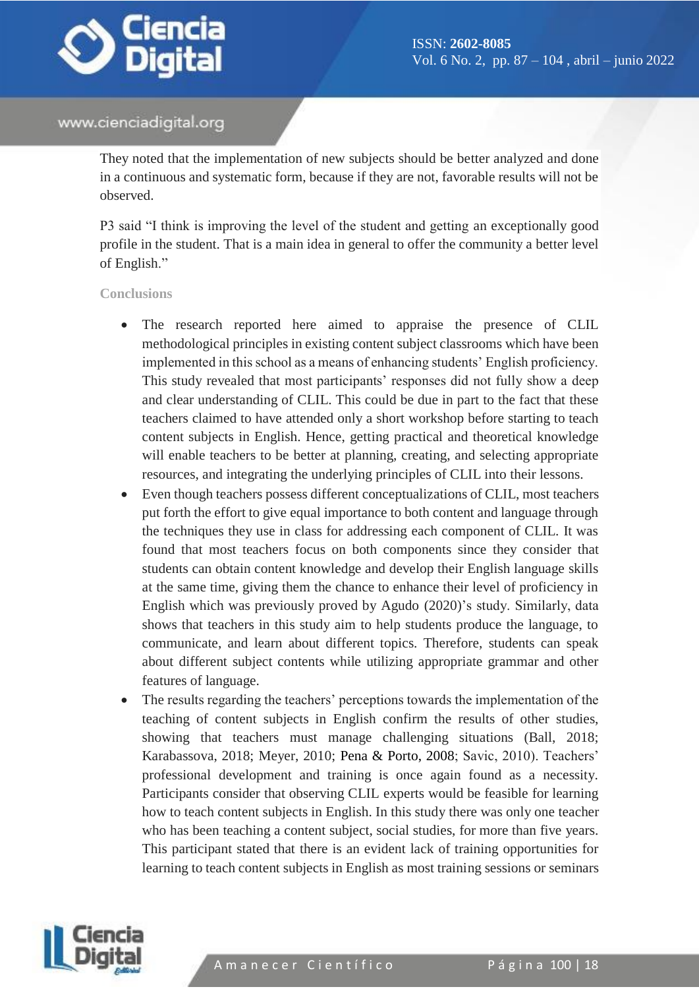

They noted that the implementation of new subjects should be better analyzed and done in a continuous and systematic form, because if they are not, favorable results will not be observed.

P3 said "I think is improving the level of the student and getting an exceptionally good profile in the student. That is a main idea in general to offer the community a better level of English."

**Conclusions**

- The research reported here aimed to appraise the presence of CLIL methodological principles in existing content subject classrooms which have been implemented in this school as a means of enhancing students' English proficiency. This study revealed that most participants' responses did not fully show a deep and clear understanding of CLIL. This could be due in part to the fact that these teachers claimed to have attended only a short workshop before starting to teach content subjects in English. Hence, getting practical and theoretical knowledge will enable teachers to be better at planning, creating, and selecting appropriate resources, and integrating the underlying principles of CLIL into their lessons.
- Even though teachers possess different conceptualizations of CLIL, most teachers put forth the effort to give equal importance to both content and language through the techniques they use in class for addressing each component of CLIL. It was found that most teachers focus on both components since they consider that students can obtain content knowledge and develop their English language skills at the same time, giving them the chance to enhance their level of proficiency in English which was previously proved by Agudo (2020)'s study. Similarly, data shows that teachers in this study aim to help students produce the language, to communicate, and learn about different topics. Therefore, students can speak about different subject contents while utilizing appropriate grammar and other features of language.
- The results regarding the teachers' perceptions towards the implementation of the teaching of content subjects in English confirm the results of other studies, showing that teachers must manage challenging situations (Ball, 2018; Karabassova, 2018; Meyer, 2010; Pena & Porto, 2008; Savic, 2010). Teachers' professional development and training is once again found as a necessity. Participants consider that observing CLIL experts would be feasible for learning how to teach content subjects in English. In this study there was only one teacher who has been teaching a content subject, social studies, for more than five years. This participant stated that there is an evident lack of training opportunities for learning to teach content subjects in English as most training sessions or seminars

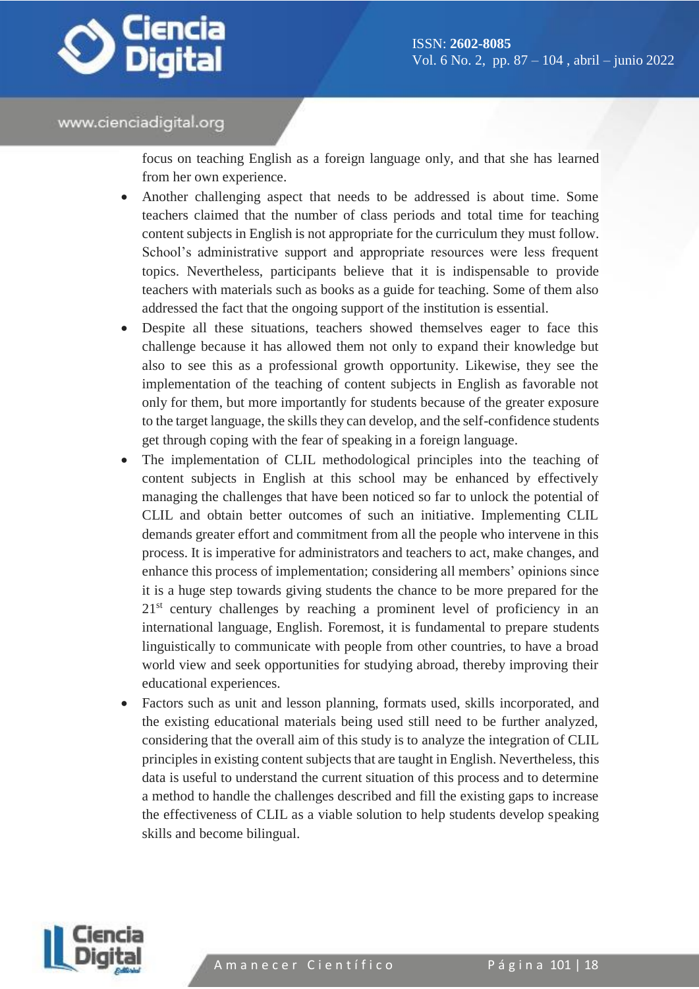

focus on teaching English as a foreign language only, and that she has learned from her own experience.

- Another challenging aspect that needs to be addressed is about time. Some teachers claimed that the number of class periods and total time for teaching content subjects in English is not appropriate for the curriculum they must follow. School's administrative support and appropriate resources were less frequent topics. Nevertheless, participants believe that it is indispensable to provide teachers with materials such as books as a guide for teaching. Some of them also addressed the fact that the ongoing support of the institution is essential.
- Despite all these situations, teachers showed themselves eager to face this challenge because it has allowed them not only to expand their knowledge but also to see this as a professional growth opportunity. Likewise, they see the implementation of the teaching of content subjects in English as favorable not only for them, but more importantly for students because of the greater exposure to the target language, the skills they can develop, and the self-confidence students get through coping with the fear of speaking in a foreign language.
- The implementation of CLIL methodological principles into the teaching of content subjects in English at this school may be enhanced by effectively managing the challenges that have been noticed so far to unlock the potential of CLIL and obtain better outcomes of such an initiative. Implementing CLIL demands greater effort and commitment from all the people who intervene in this process. It is imperative for administrators and teachers to act, make changes, and enhance this process of implementation; considering all members' opinions since it is a huge step towards giving students the chance to be more prepared for the 21<sup>st</sup> century challenges by reaching a prominent level of proficiency in an international language, English. Foremost, it is fundamental to prepare students linguistically to communicate with people from other countries, to have a broad world view and seek opportunities for studying abroad, thereby improving their educational experiences.
- Factors such as unit and lesson planning, formats used, skills incorporated, and the existing educational materials being used still need to be further analyzed, considering that the overall aim of this study is to analyze the integration of CLIL principles in existing content subjects that are taught in English. Nevertheless, this data is useful to understand the current situation of this process and to determine a method to handle the challenges described and fill the existing gaps to increase the effectiveness of CLIL as a viable solution to help students develop speaking skills and become bilingual.

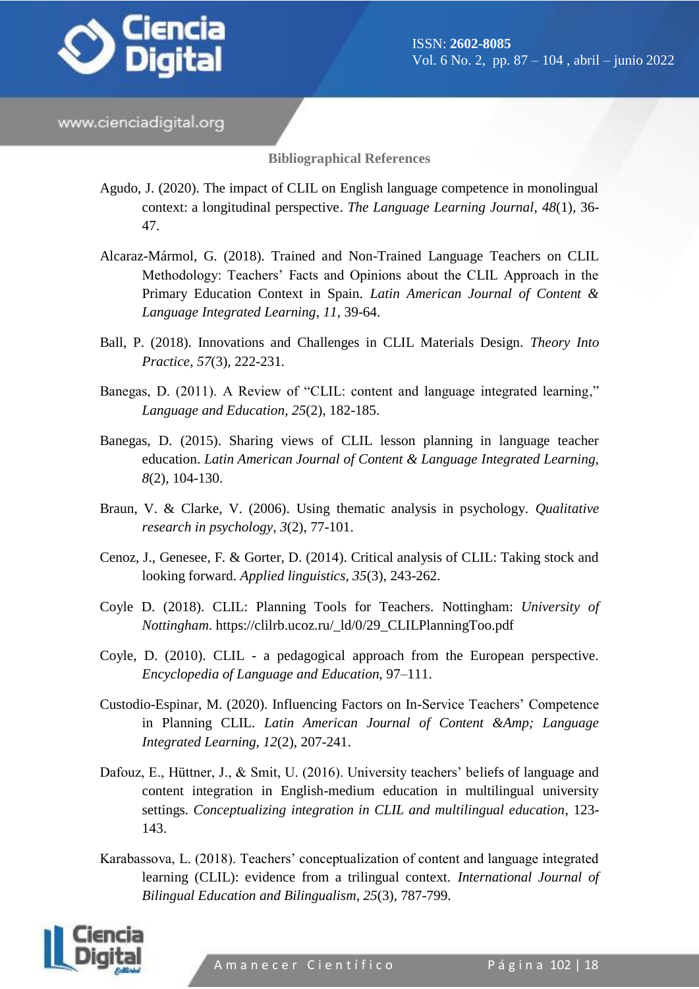

**Bibliographical References**

- Agudo, J. (2020). The impact of CLIL on English language competence in monolingual context: a longitudinal perspective. *The Language Learning Journal, 48*(1)*,* 36- 47.
- Alcaraz-Mármol, G. (2018). Trained and Non-Trained Language Teachers on CLIL Methodology: Teachers' Facts and Opinions about the CLIL Approach in the Primary Education Context in Spain. *Latin American Journal of Content & Language Integrated Learning, 11,* 39-64.
- Ball, P. (2018). Innovations and Challenges in CLIL Materials Design. *Theory Into Practice, 57*(3), 222-231*.*
- Banegas, D. (2011). A Review of "CLIL: content and language integrated learning," *Language and Education*, *25*(2), 182-185.
- Banegas, D. (2015). Sharing views of CLIL lesson planning in language teacher education. *Latin American Journal of Content & Language Integrated Learning, 8*(2), 104-130.
- Braun, V. & Clarke, V. (2006). Using thematic analysis in psychology. *Qualitative research in psychology, 3*(2), 77-101.
- Cenoz, J., Genesee, F. & Gorter, D. (2014). Critical analysis of CLIL: Taking stock and looking forward. *Applied linguistics, 35*(3), 243-262.
- Coyle D. (2018). CLIL: Planning Tools for Teachers. Nottingham: *University of Nottingham*. https://clilrb.ucoz.ru/\_ld/0/29\_CLILPlanningToo.pdf
- Coyle, D. (2010). CLIL a pedagogical approach from the European perspective. *Encyclopedia of Language and Education,* 97–111.
- Custodio-Espinar, M. (2020). Influencing Factors on In-Service Teachers' Competence in Planning CLIL. *Latin American Journal of Content &Amp; Language Integrated Learning, 12*(2), 207-241.
- Dafouz, E., Hüttner, J., & Smit, U. (2016). University teachers' beliefs of language and content integration in English-medium education in multilingual university settings. *Conceptualizing integration in CLIL and multilingual education*, 123- 143.
- Karabassova, L. (2018). Teachers' conceptualization of content and language integrated learning (CLIL): evidence from a trilingual context. *International Journal of Bilingual Education and Bilingualism, 25*(3), 787-799.

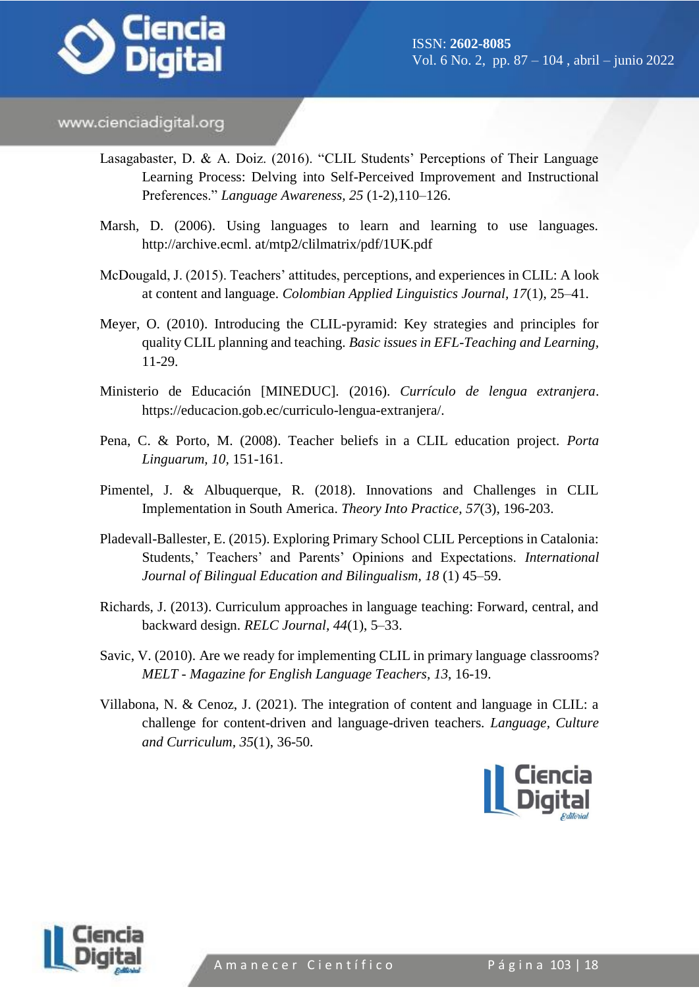

- Lasagabaster, D. & A. Doiz. (2016). "CLIL Students' Perceptions of Their Language Learning Process: Delving into Self-Perceived Improvement and Instructional Preferences." *Language Awareness, 25* (1-2),110–126.
- Marsh, D. (2006). Using languages to learn and learning to use languages. http://archive.ecml. at/mtp2/clilmatrix/pdf/1UK.pdf
- McDougald, J. (2015). Teachers' attitudes, perceptions, and experiences in CLIL: A look at content and language. *Colombian Applied Linguistics Journal, 17*(1), 25–41.
- Meyer, O. (2010). Introducing the CLIL-pyramid: Key strategies and principles for quality CLIL planning and teaching. *Basic issues in EFL-Teaching and Learning,*  11-29.
- Ministerio de Educación [MINEDUC]. (2016). *Currículo de lengua extranjera*. https://educacion.gob.ec/curriculo-lengua-extranjera/.
- Pena, C. & Porto, M. (2008). Teacher beliefs in a CLIL education project. *Porta Linguarum, 10,* 151-161.
- Pimentel, J. & Albuquerque, R. (2018). Innovations and Challenges in CLIL Implementation in South America. *Theory Into Practice, 57*(3), 196-203.
- Pladevall-Ballester, E. (2015). Exploring Primary School CLIL Perceptions in Catalonia: Students,' Teachers' and Parents' Opinions and Expectations. *International Journal of Bilingual Education and Bilingualism, 18* (1) 45–59.
- Richards, J. (2013). Curriculum approaches in language teaching: Forward, central, and backward design. *RELC Journal, 44*(1), 5–33.
- Savic, V. (2010). Are we ready for implementing CLIL in primary language classrooms? *MELT - Magazine for English Language Teachers, 13*, 16-19.
- Villabona, N. & Cenoz, J. (2021). The integration of content and language in CLIL: a challenge for content-driven and language-driven teachers. *Language, Culture and Curriculum, 35*(1), 36-50.